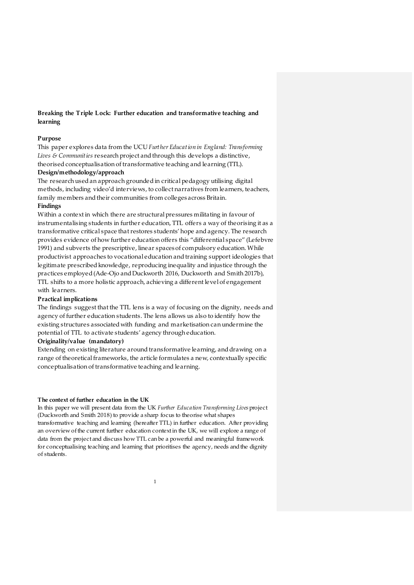## **Breaking the Triple Lock: Further education and transformative teaching and learning**

## **Purpose**

This paper explores data from the UCU *Further Education in England: Transforming Lives & Communities* research project and through this develops a distinctive, theorised conceptualisation of transformative teaching and learning (TTL).

# **Design/methodology/approach**

The research used an approach grounded in critical pedagogy utilising digital methods, including video'd interviews, to collect narratives from learners, teachers, family members and their communities from colleges across Britain. **Findings**

Within a context in which there are structural pressures militating in favour of instrumentalising students in further education, TTL offers a way of theorising it as a transformative critical space that restores students' hope and agency. The research provides evidence of how further education offers this "differential space" (Lefebvre 1991) and subverts the prescriptive, linear spaces of compulsory education. While productivist approaches to vocational education and training support ideologies that legitimate prescribed knowledge, reproducing inequality and injustice through the practices employed (Ade-Ojo and Duckworth 2016, Duckworth and Smith 2017b), TTL shifts to a more holistic approach, achieving a different level of engagement with learners.

#### **Practical implications**

The findings suggest that the TTL lens is a way of focusing on the dignity, needs and agency of further education students. The lens allows us also to identify how the existing structures associated with funding and marketisation can undermine the potential of TTL to activate students' agency through education.

## **Originality/value (mandatory)**

Extending on existing literature around transformative learning, and drawing on a range of theoretical frameworks, the article formulates a new, contextually specific conceptualisation of transformative teaching and learning.

## **The context of further education in the UK**

In this paper we will present data from the UK *Further Education Transforming Lives*project (Duckworth and Smith 2018) to provide a sharp focus to theorise what shapes transformative teaching and learning (hereafter TTL) in further education. After providing an overview ofthe current further education context in the UK, we will explore a range of data from the project and discuss how TTL can be a powerful and meaningful framework for conceptualising teaching and learning that prioritises the agency, needs and the dignity of students.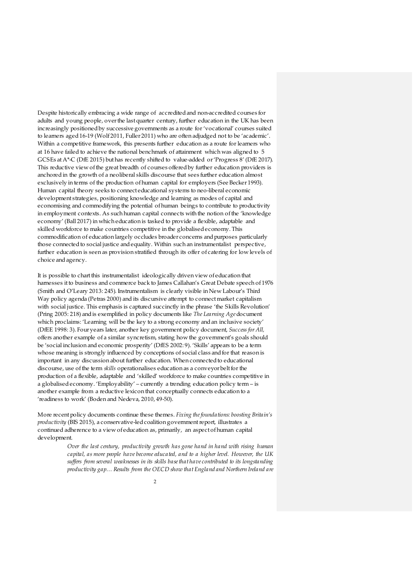Despite historically embracing a wide range of accredited and non-accredited courses for adults and young people, overthe last quarter century, further education in the UK has been increasingly positioned by successive governments as a route for 'vocational' courses suited to learners aged 16-19 (Wolf 2011, Fuller 2011) who are often adjudged not to be 'academic'. Within a competitive framework, this presents further education as a route for learners who at 16 have failed to achieve the national benchmark of attainment which was aligned to 5 GCSEs at A\*-C (DfE 2015) but has recently shifted to value-added or 'Progress 8' (DfE 2017). This reductive view of the great breadth of courses offered by further education providers is anchored in the growth of a neoliberal skills discourse that sees further education almost exclusively in terms of the production of human capital for employers (See Becker 1993). Human capital theory seeks to connect educational systems to neo-liberal economic development strategies, positioning knowledge and learning as modes of capital and economising and commodifying the potential of human beings to contribute to productivity in employment contexts. As such human capital connects with the notion of the 'knowledge economy' (Ball 2017) in which education is tasked to provide a flexible, adaptable and skilled workforce to make countries competitive in the globalised economy. This commodification of education largely occludes broader concerns and purposes particularly those connected to social justice and equality. Within such an instrumentalist perspective, further education is seen as provision stratified through its offer of catering for low levels of choice and agency.

It is possible to chart this instrumentalist ideologically driven view of education that harnesses it to business and commerce back to James Callahan's Great Debate speech of 1976 (Smith and O'Leary 2013: 245). Instrumentalism is clearly visible in New Labour's Third Way policy agenda (Petras 2000) and its discursive attempt to connect market capitalism with social justice. This emphasis is captured succinctly in the phrase 'the Skills Revolution' (Pring 2005: 218) and is exemplified in policy documents like *The Learning Age* document which proclaims: 'Learning will be the key to a strong economy and an inclusive society' (DfEE 1998: 3). Four years later, another key government policy document, *Success for All,*  offers another example of a similar syncretism, stating how the government's goals should be 'social inclusion and economic prosperity' (DfES 2002: 9). 'Skills' appears to be a term whose meaning is strongly influenced by conceptions of social class and for that reason is important in any discussion about further education. When connected to educational discourse, use of the term *skills* operationalises education as a conveyor belt for the production of a flexible, adaptable and 'skilled' workforce to make countries competitive in a globalised economy. 'Employability' – currently a trending education policy term – is another example from a reductive lexicon that conceptually connects education to a 'readiness to work' (Boden and Nedeva, 2010, 49-50).

More recent policy documents continue these themes. *Fixing the foundations: boosting Britain's productivity* (BIS 2015), a conservative-led coalition government report, illustrates a continued adherence to a view of education as, primarily, an aspect of human capital development.

> *Over the last century, productivity growth has gone hand in hand with rising human capital, as more people have become educated, and to a higher level. However, the UK suffers from several weaknesses in its skills base that have contributed to its longstanding productivity gap… Results from the OECD show that England and Northern Ireland are*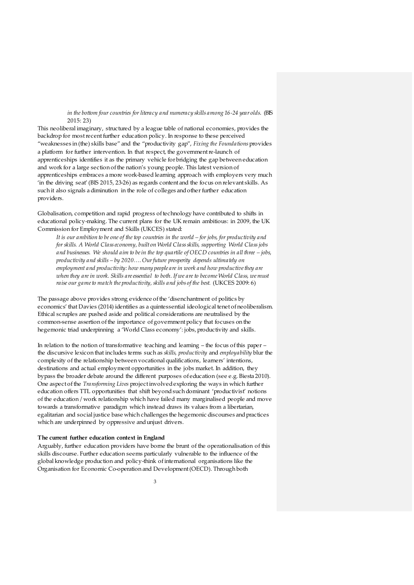*in the bottom four countries for literacy and numeracy skills among 16-24 year olds*. (BIS 2015: 23)

This neoliberal imaginary, structured by a league table of national economies, provides the backdrop for most recent further education policy. In response to these perceived "weaknesses in (the) skills base" and the "productivity gap", *Fixing the Foundations* provides a platform for further intervention. In that respect, the government re-launch of apprenticeships identifies it as the primary vehicle for bridging the gap between education and work for a large section of the nation's young people. This latest version of apprenticeships embraces a more work-based learning approach with employers very much 'in the driving seat' (BIS 2015, 23-26) as regards content and the focus on relevant skills. As such it also signals a diminution in the role of colleges and other further education providers.

Globalisation, competition and rapid progress of technology have contributed to shifts in educational policy-making. The current plans for the UK remain ambitious: in 2009, the UK Commission for Employment and Skills (UKCES) stated:

*It is our ambition to be one of the top countries in the world – for jobs, for productivity and for skills. A World Class economy, built on World Class skills, supporting World Class jobs and businesses. We should aim to be in the top quartile of OECD countries in all three – jobs, productivity and skills – by 2020….Our future prosperity depends ultimately on employment and productivity: how many people are in work and how productive they are when they are in work. Skills are essential to both. If we are to become World Class, we must raise our game to match the productivity, skills and jobs of the best.* (UKCES 2009: 6)

The passage above provides strong evidence of the 'disenchantment of politics by economics' that Davies (2014) identifies as a quintessential ideological tenet of neoliberalism. Ethical scruples are pushed aside and political considerations are neutralised by the common-sense assertion of the importance of government policy that focuses on the hegemonic triad underpinning a 'World Class economy': jobs, productivity and skills.

In relation to the notion of transformative teaching and learning – the focus of this paper – the discursive lexicon that includes terms such as *skills, productivity* and *employability* blur the complexity of the relationship between vocational qualifications, learners' intentions, destinations and actual employment opportunities in the jobs market. In addition, they bypass the broader debate around the different purposes of education (see e.g. Biesta 2010). One aspect of the *Transforming Lives* project involved exploring the ways in which further education offers TTL opportunities that shift beyond suchdominant 'productivist' notions of the education / work relationship which have failed many marginalised people and move towards a transformative paradigm which instead draws its values from a libertarian, egalitarian and social justice base which challenges the hegemonic discourses and practices which are underpinned by oppressive and unjust drivers.

#### **The current further education context in England**

Arguably, further education providers have borne the brunt of the operationalisation of this skills discourse. Further education seems particularly vulnerable to the influence of the global knowledge production and policy-think of international organisations like the Organisation for Economic Co-operation and Development(OECD). Through both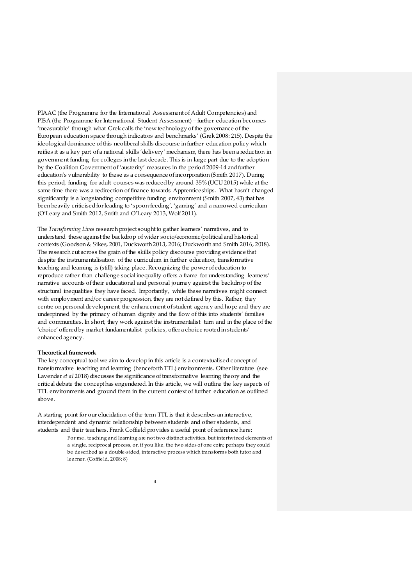PIAAC (the Programme for the International Assessment of Adult Competencies) and PISA (the Programme for International Student Assessment) – further education becomes 'measurable' through what Grek calls the 'new technology of the governance of the European education space through indicators and benchmarks' (Grek 2008: 215). Despite the ideological dominance ofthis neoliberal skills discourse in further education policy which reifies it as a key part of a national skills 'delivery' mechanism, there has been a reduction in government funding for colleges in the last decade. This is in large part due to the adoption by the Coalition Government of 'austerity' measures in the period 2009-14 and further education's vulnerability to these as a consequence of incorporation (Smith 2017). During this period, funding for adult courses was reduced by around 35% (UCU 2015) while at the same time there was a redirection of finance towards Apprenticeships. What hasn't changed significantly is a longstanding competitive funding environment (Smith 2007, 43) that has been heavily criticised for leading to 'spoon-feeding', 'gaming' and a narrowed curriculum (O'Leary and Smith 2012, Smith and O'Leary 2013, Wolf 2011).

The *Transforming Lives* research project sought to gather learners' narratives, and to understand these against the backdrop of wider socio/economic/political and historical contexts (Goodson& Sikes, 2001, Duckworth 2013, 2016; Duckworth and Smith 2016, 2018). The research cut across the grain of the skills policy discourse providing evidence that despite the instrumentalisation of the curriculum in further education, transformative teaching and learning is (still) taking place. Recognizing the power of education to reproduce rather than challenge social inequality offers a frame for understanding learners' narrative accounts of their educational and personal journey against the backdrop of the structural inequalities they have faced. Importantly, while these narratives might connect with employment and/or career progression, they are not defined by this. Rather, they centre on personal development, the enhancement of student agency andhope and they are underpinned by the primacy of human dignity and the flow of this into students' families and communities. In short, they work against the instrumentalist turn and in the place of the 'choice' offered by market fundamentalist policies, offer a choice rooted in students' enhanced agency.

## **Theoretical framework**

The key conceptual tool we aim to develop in this article is a contextualised concept of transformative teaching and learning (henceforth TTL) environments. Other literature (see Lavender *et al* 2018) discusses the significance of transformative learning theory and the critical debate the concept has engendered. In this article, we will outline the key aspects of TTL environments and ground them in the current context of further education as outlined above.

A starting point for our elucidation of the term TTL is that it describes an interactive, interdependent and dynamic relationship between students and other students, and students and their teachers. Frank Coffield provides a useful point of reference here:

> For me , teaching and learning are not two distinct activities, but intertwined elements of a single, reciprocal process, or, if you like, the two sides of one coin; perhaps they could be described as a double-sided, interactive process which transforms both tutor and le arner. (Coffie ld, 2008: 8)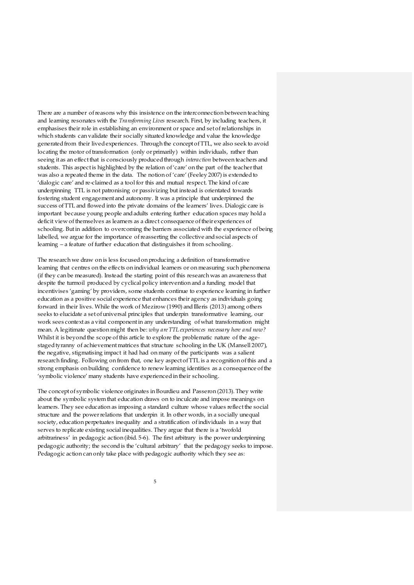There are a number of reasons why this insistence on the interconnection between teaching and learning resonates with the *Transforming Lives* research. First, by including teachers, it emphasises their role in establishing an environment or space and set of relationships in which students can validate their socially situated knowledge and value the knowledge generated from their lived experiences. Through the concept of TTL, we also seek to avoid locating the motor of transformation (only or primarily) within individuals, rather than seeing it as an effect that is consciously produced through *interaction* between teachers and students. This aspect is highlighted by the relation of 'care' on the part of the teacher that was also a repeated theme in the data. The notion of 'care' (Feeley 2007) is extended to 'dialogic care' and re-claimed as a tool for this and mutual respect. The kind of care underpinning TTL is not patronising or passivizing but instead is orientated towards fostering student engagement and autonomy. It was a principle that underpinned the success of TTL and flowed into the private domains of the learners' lives. Dialogic care is important because young people and adults entering further education spaces may hold a deficit view of themselves as learners as a direct consequence of their experiences of schooling. But in addition to overcoming the barriers associated with the experience of being labelled, we argue for the importance of reasserting the collective and social aspects of learning – a feature of further education that distinguishes it from schooling.

The research we draw on is less focused on producing a definition of transformative learning that centres on the effects on individual learners or on measuring such phenomena (if they can be measured). Instead the starting point of this research was an awareness that despite the turmoil produced by cyclical policy intervention and a funding model that incentivises 'gaming' by providers, some students continue to experience learning in further education as a positive social experience that enhances their agency as individuals going forward in their lives. While the work of Mezirow (1990) and Illeris (2013) among others seeks to elucidate a set of universal principles that underpin transformative learning, our work sees context as a vital component in any understanding of what transformation might mean. A legitimate question might then be: *why areTTL experiences necessary here and now?* Whilst it is beyond the scope of this article to explore the problematic nature of the agestaged tyranny of achievement matrices that structure schooling in the UK (Mansell 2007), the negative, stigmatising impact it had had on many of the participants was a salient research finding. Following on from that, one key aspect of TTL is a recognition ofthis and a strong emphasis on building confidence to renew learning identities as a consequence of the 'symbolic violence' many students have experienced in their schooling.

The concept of symbolic violence originates in Bourdieu and Passeron (2013). They write about the symbolic system that education draws on to inculcate and impose meanings on learners. They see education as imposing a standard culture whose values reflect the social structure and the power relations that underpin it. In other words, in a socially unequal society, education perpetuates inequality and a stratification of individuals in a way that serves to replicate existing social inequalities. They argue that there is a 'twofold arbitrariness' in pedagogic action (ibid. 5-6). The first arbitrary is the power underpinning pedagogic authority; the second is the 'cultural arbitrary' that the pedagogy seeks to impose. Pedagogic action can only take place with pedagogic authority which they see as: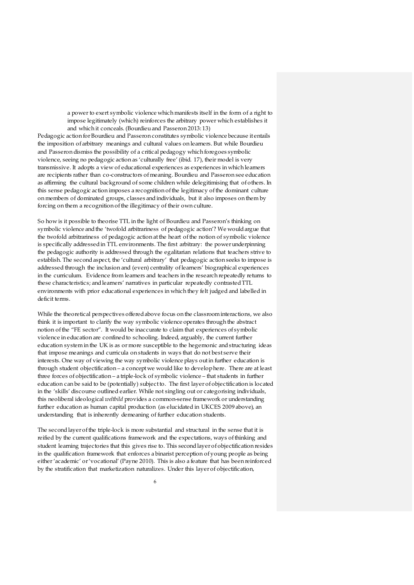a power to exert symbolic violence which manifests itself in the form of a right to impose legitimately (which) reinforces the arbitrary power which establishes it and which it conceals. (Bourdieu and Passeron 2013: 13)

Pedagogic action for Bourdieu and Passeron constitutes symbolic violence because it entails the imposition of arbitrary meanings and cultural values on learners. But while Bourdieu and Passeron dismiss the possibility of a critical pedagogy which foregoes symbolic violence, seeing no pedagogic action as 'culturally free' (ibid. 17), their model is very transmissive. It adopts a view of educational experiences as experiences in which learners are recipients rather than co-constructors of meaning. Bourdieu and Passeron see education as affirming the cultural background of some children while delegitimising that of others. In this sense pedagogic action imposes a recognition of the legitimacy of the dominant culture on members of dominated groups, classes and individuals, but it also imposes on them by forcing on them a recognition of the illegitimacy of their own culture.

So how is it possible to theorise TTL in the light of Bourdieu and Passeron's thinking on symbolic violence and the 'twofold arbitrariness of pedagogic action'? We would argue that the twofold arbitrariness of pedagogic action at the heart of the notion of symbolic violence is specifically addressed in TTL environments. The first arbitrary: the power underpinning the pedagogic authority is addressed through the egalitarian relations that teachers strive to establish. The second aspect, the 'cultural arbitrary' that pedagogic action seeks to impose is addressed through the inclusion and (even) centrality of learners' biographical experiences in the curriculum. Evidence from learners and teachers in the research repeatedly returns to these characteristics; and learners' narratives in particular repeatedly contrastedTTL environments with prior educational experiences in which they felt judged and labelled in deficit terms.

While the theoretical perspectives offered above focus on the classroom interactions, we also think it is important to clarify the way symbolic violence operates through the abstract notion of the "FE sector". It would be inaccurate to claim that experiences of symbolic violence in education are confined to schooling. Indeed, arguably, the current further education systemin the UK is as or more susceptible to the hegemonic and structuring ideas that impose meanings and curricula on students in ways that do not best serve their interests. One way of viewing the way symbolic violence plays out in further education is through student objectification – a concept we would like to develop here. There are at least three forces of objectification – a triple-lock of symbolic violence – that students in further education can be said to be (potentially) subject to. The first layer of objectification is located in the 'skills' discourse outlined earlier. While not singling out or categorising individuals, this neoliberal ideological *weltbild* provides a common-sense framework or understanding further education as human capital production (as elucidated in UKCES 2009 above), an understanding that is inherently demeaning of further education students.

The second layer of the triple-lock is more substantial and structural in the sense that it is reified by the current qualifications framework and the expectations, ways of thinking and student learning trajectories that this gives rise to. This second layer of objectification resides in the qualification framework that enforces a binarist perception of young people as being either 'academic' or 'vocational' (Payne 2010). This is also a feature that has been reinforced by the stratification that marketization naturalizes. Under this layer of objectification,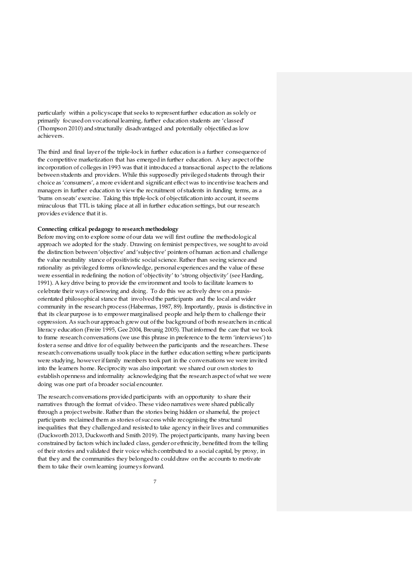particularly within a policyscape that seeks to represent further education as solely or primarily focused on vocational learning, further education students are 'classed' (Thompson 2010) and structurally disadvantaged and potentially objectified as low achievers.

The third and final layer of the triple-lock in further education is a further consequence of the competitive marketization that has emerged in further education. A key aspect of the incorporation of colleges in 1993 was that it introduced a transactional aspect to the relations between students and providers. While this supposedly privileged students through their choice as 'consumers', a more evident and significant effect was to incentivise teachers and managers in further education to view the recruitment of students in funding terms, as a 'bums on seats' exercise. Taking this triple-lock of objectification into account, it seems miraculous that TTL is taking place at all in further education settings, but our research provides evidence that it is.

#### **Connecting critical pedagogy to research methodology**

Before moving on to explore some of our data we will first outline the methodological approach we adopted for the study. Drawing on feminist perspectives, we sought to avoid the distinction between 'objective' and 'subjective' pointers of human action and challenge the value neutrality stance of positivistic social science. Rather than seeing science and rationality as privileged forms of knowledge, personal experiences and the value of these were essential in redefining the notion of 'objectivity' to 'strong objectivity' (see Harding, 1991). A key drive being to provide the environment and tools to facilitate learners to celebrate their ways of knowing and doing. To do this we actively drew on a praxisorientated philosophical stance that involvedthe participants and the local and wider community in the research process (Habermas, 1987, 89). Importantly, praxis is distinctive in that its clear purpose is to empower marginalised people and help them to challenge their oppression. As such our approach grew out of the background of both researchers in critical literacy education (Freire 1995, Gee 2004, Breunig 2005). That informed the care that we took to frame research conversations (we use this phrase in preference to the term 'interviews') to foster a sense and drive for of equality between the participants and the researchers. These research conversations usually took place in the further education setting where participants were studying, however if family members took part in the conversations we were invited into the learners home. Reciprocity was also important: we shared our own stories to establish openness and informality acknowledging that the research aspect of what we were doing was one part of a broader social encounter.

The research conversations provided participants with an opportunity to share their narratives through the format of video. These video narratives were shared publically through a project website. Rather than the stories being hidden or shameful, the project participants reclaimed them as stories of success while recognising the structural inequalities that they challenged and resisted to take agency in their lives and communities (Duckworth 2013, Duckworth and Smith 2019). The project participants, many having been constrained by factors which included class, gender or ethnicity, benefitted from the telling of their stories and validated their voice which contributed to a social capital, by proxy, in that they and the communities they belonged to could draw on the accounts to motivate them to take their own learning journeys forward.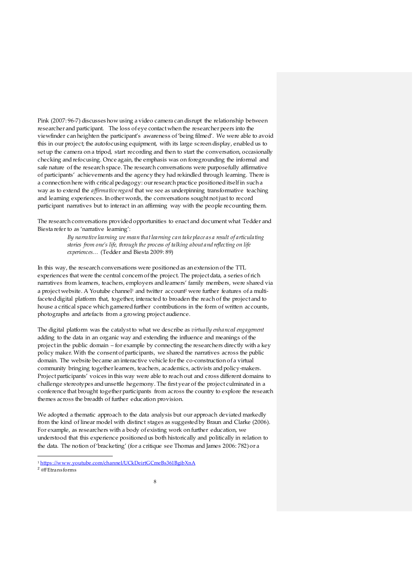Pink (2007: 96-7) discusses how using a video camera can disrupt the relationship between researcher and participant. The loss of eye contact when the researcher peers into the viewfinder can heighten the participant's awareness of 'being filmed'. We were able to avoid this in our project; the autofocusing equipment, with its large screen display, enabled us to set up the camera on a tripod, start recording and then to start the conversation, occasionally checking and refocusing. Once again, the emphasis was on foregrounding the informal and safe nature of the research space. The research conversations were purposefully affirmative of participants' achievements and the agency they had rekindled through learning. There is a connection here with critical pedagogy: ourresearch practice positioned itself in such a way as to extend the *affirmative regard* that we see as underpinning transformative teaching and learning experiences. In other words, the conversations sought not just to record participant narratives but to interact in an affirming way with the people recounting them.

The research conversations provided opportunities to enact and document what Tedder and Biesta refer to as 'narrative learning':

> *By narrative learning we mean that learning can take place as a result of articulating stories from one's life, through the process of talking about and reflecting on life experiences…* (Tedder and Biesta 2009: 89)

In this way, the research conversations were positioned as an extension of the TTL experiences that were the central concern of the project. The project data, a series of rich narratives from learners, teachers, employers and learners' family members, were shared via a project website. A Youtube channel<sup>1</sup> and twitter account<sup>2</sup> were further features of a multifaceted digital platform that, together, interacted to broaden the reach of the project and to house a critical space which garnered further contributions in the form of written accounts, photographs and artefacts from a growing project audience.

The digital platform was the catalyst to what we describe as *virtually enhanced engagement*  adding to the data in an organic way and extending the influence and meanings of the project in the public domain – for example by connecting the researchers directly with a key policy maker. With the consent of participants, we shared the narratives across the public domain. The website became an interactive vehicle for the co-construction of a virtual community bringing together learners, teachers, academics, activists and policy-makers. Project participants' voices in this way were able to reach out and cross different domains to challenge stereotypes and unsettle hegemony. The first year of the project culminated in a conference that brought together participants from across the country to explore the research themes across the breadth of further education provision.

We adopted a thematic approach to the data analysis but our approach deviated markedly from the kind of linear model with distinct stages as suggested by Braun and Clarke (2006). For example, as researchers with a body of existing work on further education, we understood that this experience positioned us both historically and politically in relation to the data. The notion of 'bracketing' (for a critique see Thomas and James 2006: 782) or a

 $\overline{a}$ 

<sup>1</sup> <https://www.youtube.com/channel/UCkDeirtGCmeBs361BgibXnA>

<sup>2</sup> @FEtransforms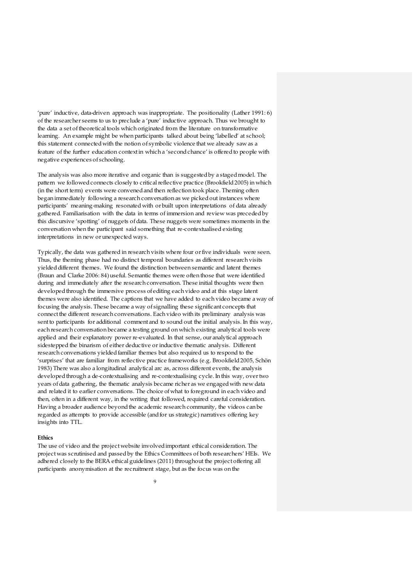'pure' inductive, data-driven approach was inappropriate. The positionality (Lather 1991: 6) of the researcher seems to us to preclude a 'pure' inductive approach. Thus we brought to the data a set of theoretical tools which originated from the literature on transformative learning. An example might be when participants talked about being 'labelled' at school; this statement connected with the notion of symbolic violence that we already saw as a feature of the further education context in which a 'second chance' is offered to people with negative experiences of schooling.

The analysis was also more iterative and organic than is suggested by a staged model. The pattern we followed connects closely to critical reflective practice (Brookfield 2005) in which (in the short term) events were convened and then reflection took place. Theming often began immediately following a research conversation as we picked out instances where participants' meaning-making resonated with or built upon interpretations of data already gathered. Familiarisation with the data in terms of immersion and review was preceded by this discursive 'spotting' of nuggets of data. These nuggets were sometimes moments in the conversation when the participant said something that re-contextualised existing interpretations in new or unexpected ways.

Typically, the data was gathered in research visits where four or five individuals were seen. Thus, the theming phase had no distinct temporal boundaries as different research visits yielded different themes. We found the distinction between semantic and latent themes (Braun and Clarke 2006: 84) useful. Semantic themes were often those that were identified during and immediately after the research conversation. These initial thoughts were then developed through the immersive process of editing each video and at this stage latent themes were also identified. The captions that we have added to each video became a way of focusing the analysis. These became a way of signalling these significant concepts that connect the different research conversations. Each video with its preliminary analysis was sent to participants for additional comment and to sound out the initial analysis. In this way, each research conversation became a testing ground on which existing analytical tools were applied and their explanatory power re-evaluated. In that sense, our analytical approach sidestepped the binarism of either deduc tive or inductive thematic analysis. Different research conversations yielded familiar themes but also required us to respond to the 'surprises' that are familiar from reflective practice frameworks (e.g. Brookfield 2005, Schön 1983) There was also a longitudinal analytical arc as, across different events, the analysis developed through a de-contextualising and re-contextualising cycle. In this way, over two years of data gathering, the thematic analysis became richer as we engaged with new data and related it to earlier conversations. The choice of what to foreground in each video and then, often in a different way, in the writing that followed, required careful consideration. Having a broader audience beyond the academic research community, the videos can be regarded as attempts to provide accessible (and for us strategic) narratives offering key insights into TTL.

## **Ethics**

The use of video and the project website involved important ethical consideration. The project was scrutinised and passed by the Ethics Committees of both researchers' HEIs. We adhered closely to the BERA ethical guidelines (2011) throughout the project offering all participants anonymisation at the recruitment stage, but as the focus was on the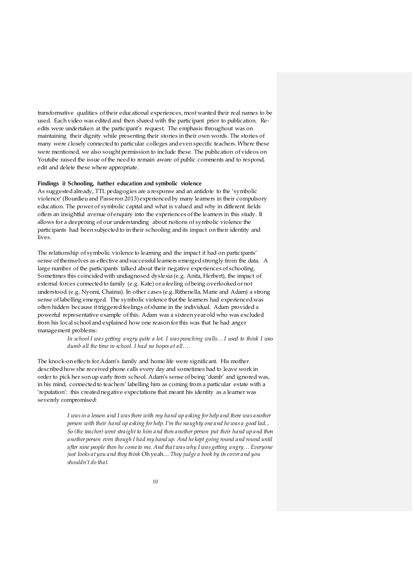transformative qualities of their educational experiences, most wanted their real names to be used. Each video was edited and then shared with the participant prior to publication. Reedits were undertaken at the participant's request. The emphasis throughout was on maintaining their dignity while presenting their stories in their own words. The stories of many were closely connected to particular colleges and even specific teachers. Where these were mentioned, we also sought permission to include these. The publication of videos on Youtube raised the issue of the need to remain aware of public comments and to respond, edit and delete these where appropriate.

### **Findings i) Schooling, further education and symbolic violence**

As suggested already, TTL pedagogies are a response and an antidote to the 'symbolic violence' (Bourdieu and Passeron 2013) experienced by many learners in their compulsory education. The power of symbolic capital and what is valued and why in different fields offers an insightful avenue of enquiry into the experiences of the learners in this study. It allows for a deepening of our understanding about notions of symbolic violence the participants had been subjected to in their schooling and its impact on their identity and lives.

The relationship of symbolic violence to learning and the impact it had on participants' sense of themselves as effective and successful learners emerged strongly from the data. A large number of the participants talked about their negative experiences of schooling. Sometimes this coincided with undiagnosed dyslexia (e.g. Anita, Herbert), the impact of external forces connected to family (e.g. Kate) or a feeling of being overlooked or not understood (e.g. Nyomi, Chaima). In other cases (e.g. Rithenella, Marie and Adam) a strong sense of labelling emerged. The symbolic violence that the learners had experienced was often hidden because it triggered feelings of shame in the individual. Adam provided a powerful representative example of this. Adam was a sixteen year old who was excluded from his local school and explained how one reason for this was that he had anger management problems:

> *In school I was getting angry quite a lot. I was punching walls… I used to think I was dumb all the time in school. I had no hopes at all….*

The knock-on effects for Adam's family and home life were significant. His mother described how she received phone calls every day and sometimes had to leave work in order to pick her son up early from school. Adam's sense of being 'dumb' and ignored was, in his mind, connected to teachers' labelling him as coming from a particular estate with a 'reputation': this created negative expectations that meant his identity as a learner was severely compromised:

> *I was in a lesson and I was there with my hand up asking for help and there was another person with their hand up asking for help. I'm the naughty one and he was a good lad... So (the teacher) went straight to him and then another person put their hand up and then another person even though I had my hand up. And he kept going round and round until after nine people then he come to me. And that was why I was getting angry… Everyone just looks at you and they think* Oh yeah… *They judge a book by its cover and you shouldn't do that.*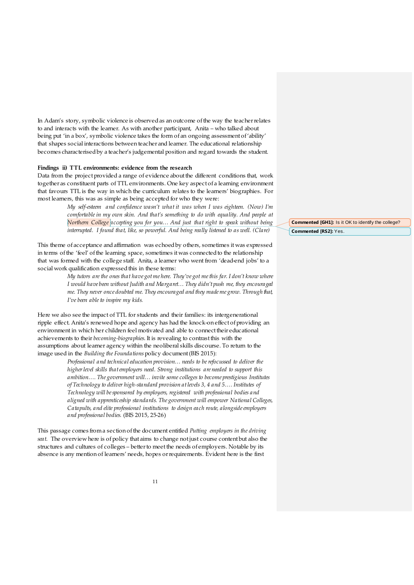In Adam's story, symbolic violence is observed as an outcome of the way the teacher relates to and interacts with the learner. As with another participant, Anita – who talked about being put 'in a box', symbolic violence takes the form of an ongoing assessment of 'ability' that shapes social interactions between teacher and learner. The educational relationship becomes characterised by a teacher's judgemental position and regard towards the student.

#### **Findings ii) TTL environments: evidence from the research**

Data from the project provided a range of evidence about the different conditions that, work together as constituent parts of TTL environments. One key aspect of a learning environment that favours TTL is the way in which the curriculum relates to the learners' biographies. For most learners, this was as simple as being accepted for who they were:

> *My self-esteem and confidence wasn't what it was when I was eighteen. (Now) I'm comfortable in my own skin. And that's something to do with equality. And people at Northern College accepting you for you… And just that right to speak without being interrupted. I found that, like, so powerful. And being really listened to as well. (Clare)*

This theme of acceptance and affirmation was echoed by others, sometimes it was expressed in terms of the 'feel' of the learning space, sometimes it was connected to the relationship that was formed with the college staff. Anita, a learner who went from 'dead-end jobs' to a social work qualification expressed this in these terms:

> *My tutors are the ones that have got me here. They've got me this far. I don't know where I would have been without Judith and Margaret… They didn't push me, they encouraged me. They never once doubted me. They encouraged and they made me grow. Through that, I've been able to inspire my kids.*

Here we also see the impact of TTL for students and their families: its intergenerational ripple effect. Anita's renewed hope and agency has had the knock-on effect of providing an environment in which her children feel motivated and able to connect their educational achievements to their *becoming-biographies*. It is revealing to contrast this with the assumptions about learner agency within the neoliberal skills discourse. To return to the image used in the *Building the Foundations* policy document (BIS 2015):

> *Professional and technical education provision… needs to be refocussed to deliver the higher level skills that employers need. Strong institutions are needed to support this ambition…. The government will… invite some colleges to become prestigious Institutes of Technology to deliver high-standard provision at levels 3, 4 and 5.… Institutes of Technology will be sponsored by employers, registered with professional bodies and aligned with apprenticeship standards. The government will empower National Colleges, Catapults, and elite professional institutions to design each route, alongside employers and professional bodies.* (BIS 2015, 25-26)

This passage comes from a section of the document entitled *Putting employers in the driving seat*. The overview here is of policy that aims to change not just course content but also the structures and cultures of colleges – better to meet the needs of employers. Notable by its absence is any mention of learners' needs, hopes or requirements. Evident here is the first

**Commented [GH1]:** Is it OK to identify the college? **Commented [RS2]:** Yes.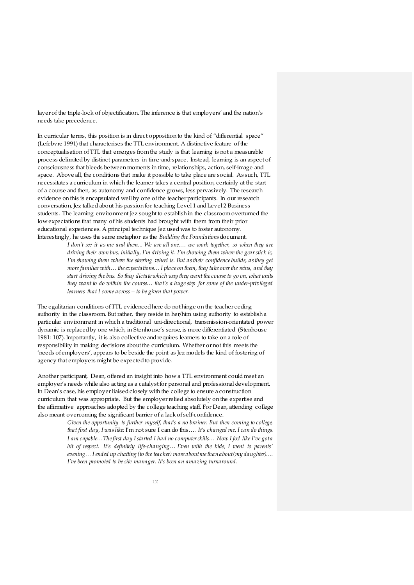layer of the triple-lock of objectification. The inference is that employers' and the nation's needs take precedence.

In curricular terms, this position is in direct opposition to the kind of "differential space" (Lefebvre 1991) that characterises the TTL environment. A distinctive feature of the conceptualisation of TTL that emerges from the study is that learning is not a measurable process delimited by distinct parameters in time-and-space. Instead, learning is an aspect of consciousness that bleeds between moments in time, relationships, action, self-image and space. Above all, the conditions that make it possible to take place are social. As such, TTL necessitates a curriculum in which the learner takes a central position, certainly at the start of a course and then, as autonomy and confidence grows, less pervasively. The research evidence on this is encapsulated well by one of the teacher participants. In our research conversation, Jez talked about his passion for teaching Level 1 and Level 2 Business students. The learning environment Jez sought to establish in the classroom overturned the low expectations that many of his students had brought with them from their prior educational experiences. A principal technique Jez used was to foster autonomy. Interestingly, he uses the same metaphor as the *Building the Foundations*document.

> *I don't see it as me and them... We are all one.... we work together, so when they are driving their own bus, initially, I'm driving it. I'm showing them where the gear stick is, I'm showing them where the steering wheel is. But as their confidence builds, as they get more familiar with… the expectations… I place on them, they take over the reins, and they start driving the bus. So they dictate which way they want the course to go on, what units they want to do within the course… that's a huge step for some of the under-privileged learners that I come across – to be given that power.*

The egalitarian conditions of TTL evidenced here do not hinge on the teacher ceding authority in the classroom. But rather, they reside in her/him using authority to establish a particular environment in which a traditional uni-directional, transmission-orientated power dynamic is replaced by one which, in Stenhouse's sense, is more differentiated (Stenhouse 1981: 107). Importantly, it is also collective and requires learners to take on a role of responsibility in making decisions about the curriculum. Whether or not this meets the 'needs of employers', appears to be beside the point as Jez models the kind of fostering of agency that employers might be expected to provide.

Another participant, Dean, offered an insight into how a TTL environment could meet an employer's needs while also acting as a catalyst for personal and professional development. In Dean's case, his employer liaised closely with the college to ensure a construction curriculum that was appropriate. But the employer relied absolutely on the expertise and the affirmative approaches adopted by the college teaching staff. For Dean, attending college also meant overcoming the significant barrier of a lack of self-confidence.

> *Given the opportunity to further myself, that's a no brainer. But then coming to college, that first day, I was like:* I'm not sure I can do this…*. It's changed me. I can do things. I am capable…The first day I started I had no computer skills… Now I feel like I've got a bit of respect. It's definitely life-changing… Even with the kids, I went to parents' evening… I ended up chatting (to the teacher) more about me than about (my daughter)…. I've been promoted to be site manager. It's been an amazing turnaround.*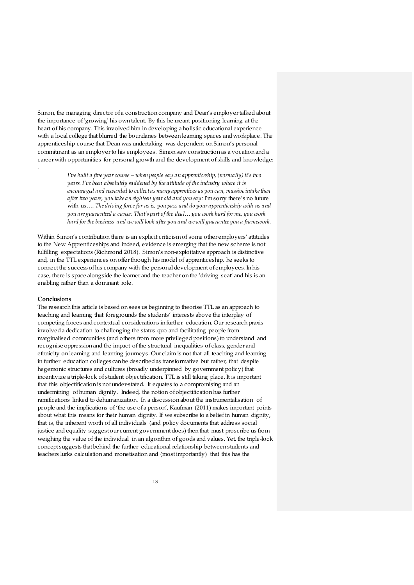Simon, the managing director of a construction company and Dean's employer talked about the importance of 'growing' his own talent. By this he meant positioning learning at the heart of his company. This involved him in developing a holistic educational experience with a local college that blurred the boundaries between learning spaces and workplace. The apprenticeship course that Dean was undertaking was dependent on Simon's personal commitment as an employerto his employees. Simon saw construction as a vocation and a career with opportunities for personal growth and the development of skills and knowledge:

> *I've built a five year course – when people say an apprenticeship, (normally) it's two years. I've been absolutely saddened by the attitude of the industry where it is encouraged and rewarded to collect as many apprentices as you can, massive intake then after two years, you take an eighteen year old and you say:* I'm sorry there's no future with us…. *The driving force for us is, you pass and do your apprenticeship with us and you are guaranteed a career. That's part of the deal… you work hard for me, you work hard for the business and we will look after you and we will guarantee you a framework.*

Within Simon's contribution there is an explicit criticism of some other employers' attitudes to the New Apprenticeships and indeed, evidence is emerging that the new scheme is not fulfilling expectations (Richmond 2018). Simon's non-exploitative approach is distinctive and, in the TTL experiences on offer through his model of apprenticeship, he seeks to connect the success of his company with the personal development of employees. In his case, there is space alongside the learner and the teacher on the 'driving seat' and his is an enabling rather than a dominant role.

## **Conclusions**

.

The research this article is based on sees us beginning to theorise TTL as an approach to teaching and learning that foregrounds the students' interests above the interplay of competing forces and contextual considerations in further education. Our research praxis involved a dedication to challenging the status quo and facilitating people from marginalised communities (and others from more privileged positions) to understand and recognise oppression and the impact of the structural inequalities of class, gender and ethnicity on learning and learning journeys. Our claim is not that all teaching and learning in further education colleges can be described as transformative but rather, that despite hegemonic structures and cultures (broadly underpinned by government policy) that incentivize a triple-lock of student objectification, TTL is still taking place. It is important that this objectification is not under-stated. It equates to a compromising and an undermining of human dignity. Indeed, the notion of objectification has further ramifications linked to dehumanization. In a discussion about the instrumentalisation of people and the implications of 'the use of a person', Kaufman (2011) makes important points about what this means for their human dignity. If we subscribe to a belief in human dignity, that is, the inherent worth of all individuals (and policy documents that address social justice and equality suggest our current government does) then that must proscribe us from weighing the value of the individual in an algorithm of goods and values. Yet, the triple-lock concept suggests that behind the further educational relationship between students and teachers lurks calculation and monetisation and (most importantly) that this has the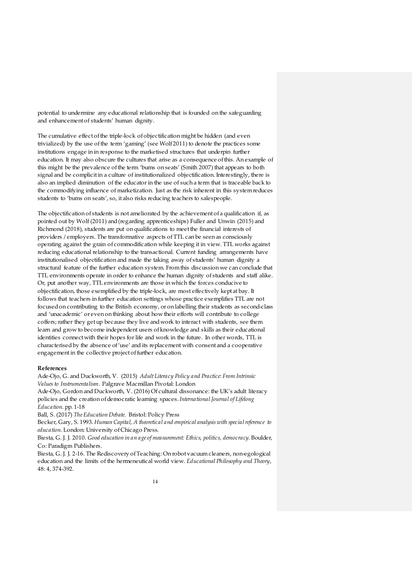potential to undermine any educational relationship that is founded on the safeguarding and enhancement of students' human dignity.

The cumulative effect of the triple-lock of objectification might be hidden (and even trivialized) by the use of the term 'gaming' (see Wolf 2011) to denote the practices some institutions engage in in response to the marketised structures that underpin further education. It may also obscure the cultures that arise as a consequence of this. An example of this might be the prevalence of the term 'bums on seats' (Smith 2007) that appears to both signal and be complicit in a culture of institutionalized objectification. Interestingly, there is also an implied diminution of the educator in the use of such a term that is traceable back to the commodifying influence of marketization. Just as the risk inherent in this system reduces students to 'bums on seats', so, it also risks reducing teachers to salespeople.

The objectification of students is not ameliorated by the achievement of a qualification if, as pointed out by Wolf (2011) and (regarding apprenticeships) Fuller and Unwin (2015) and Richmond (2018), students are put on qualifications to meet the financial interests of providers / employers. The transformative aspects of TTL can be seen as consciously operating against the grain of commodification while keeping it in view. TTL works against reducing educational relationship to the transactional. Current funding arrangements have institutionalised objectification and made the taking away of students' human dignity a structural feature of the further education system. From this discussion we can conclude that TTL environments operate in order to enhance the human dignity of students and staff alike. Or, put another way, TTL environments are those in which the forces conducive to objectification, those exemplified by the triple-lock, are most effectively kept at bay. It follows that teachers in further education settings whose practice exemplifies TTL are not focused on contributing to the British economy, or on labelling their students as second-class and 'unacademic' or even on thinking about how their efforts will contribute to college coffers; rather they get up because they live and work to interact with students, see them learn and grow to become independent users of knowledge and skills as their educational identities connect with their hopes for life and work in the future. In other words, TTL is characterised by the absence of 'use' and its replacement with consent and a cooperative engagement in the collective project of further education.

#### **References**

Ade-Ojo, G. and Duckworth, V. (2015) *Adult Literacy Policy and Practice: From Intrinsic Values to Instrumentalism*. Palgrave Macmillan Pivotal: London

Ade-Ojo, Gordon and Duckworth, V. (2016) Of cultural dissonance: the UK's adult literacy policies and the creation of democratic learning spaces. *International Journal of Lifelong Education*. pp. 1-18

Ball, S. (2017) *The Education Debate*. Bristol: Policy Press

Becker, Gary, S. 1993. *Human Capital, A theoretical and empirical analysis with special reference to education*. London: University of Chicago Press.

Biesta, G. J. J. 2010. *Good education in an age of measurement: Ethics, politics, democracy*. Boulder, Co: Paradigm Publishers.

Biesta, G. J. J. 2-16. The Rediscovery of Teaching: On robot vacuum cleaners, non-egological education and the limits of the hermeneutical world view. *Educational Philosophy and Theory*, 48: 4, 374-392.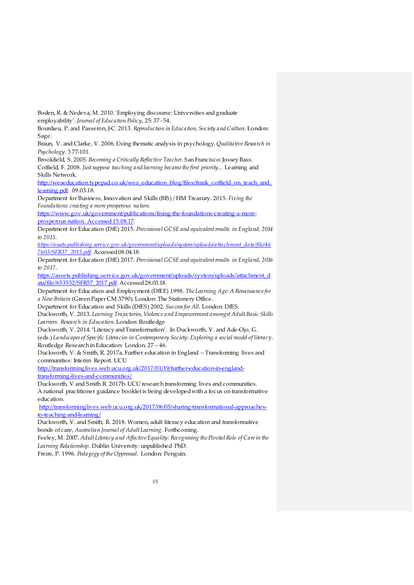Boden, R. & Nedeva, M. 2010. 'Employing discourse: Universities and graduate employability'. *Journal of Education Policy*, 25: 37 - 54.

Bourdieu, P. and Passeron, J-C. 2013. *Reproduction in Education, Society and Culture*. London: Sage.

Braun, V. and Clarke, V. 2006. Using thematic analysis in psychology. *Qualitative Research in Psychology*. 3 77-101.

Brookfield, S. 2005. *Becoming a Critically Reflective Teacher*. San Francisco: Jossey Bass.

Coffield, F. 2008. *Just suppose teaching and learning became the first priority...* Learning and Skills Network.

[http://weaeducation.typepad.co.uk/wea\\_education\\_blog/files/frank\\_coffield\\_on\\_teach\\_and\\_](http://weaeducation.typepad.co.uk/wea_education_blog/files/frank_coffield_on_teach_and_learning.pdf) [learning.pdf.](http://weaeducation.typepad.co.uk/wea_education_blog/files/frank_coffield_on_teach_and_learning.pdf) 09.03.18.

Department for Business, Innovation and Skills (BIS) / HM Treasury. 2015. *Fixing the Foundations: creating a more prosperous nation*.

[https://www.gov.uk/government/publications/fixing-the-foundations-creating-a-more](https://www.gov.uk/government/publications/fixing-the-foundations-creating-a-more-prosperous-nation.%20Accessed%2015.08.17)[prosperous-nation. Accessed 15.08.17.](https://www.gov.uk/government/publications/fixing-the-foundations-creating-a-more-prosperous-nation.%20Accessed%2015.08.17)

Department for Education (DfE) 2015. *Provisional GCSE and equivalent results in England, 2014 to 2015.* 

*[https://assets.publishing.service.gov.uk/government/uploads/system/uploads/attachment\\_data/file/46](https://assets.publishing.service.gov.uk/government/uploads/system/uploads/attachment_data/file/467603/SFR37_2015.pdf) [7603/SFR37\\_2015.pdf.](https://assets.publishing.service.gov.uk/government/uploads/system/uploads/attachment_data/file/467603/SFR37_2015.pdf)* Accessed 08.04.18.

Department for Education (DfE) 2017. *Provisional GCSE and equivalent results in England, 2016 to 2017*.

[https://assets.publishing.service.gov.uk/government/uploads/system/uploads/attachment\\_d](https://assets.publishing.service.gov.uk/government/uploads/system/uploads/attachment_data/file/653532/SFR57_2017.pdf) [ata/file/653532/SFR57\\_2017.pdf.](https://assets.publishing.service.gov.uk/government/uploads/system/uploads/attachment_data/file/653532/SFR57_2017.pdf) Accessed 28.03.18.

Department for Education and Employment (DfEE) 1998. *The Learning Age: A Renaissancefor a New Britain* (Green Paper CM 3790). London: The Stationery Office.

Department for Education and Skills (DfES) 2002. *Success for All*. London: DfES.

Duckworth, V. 2013. *Learning Trajectories, Violence and Empowerment amongst Adult Basic Skills Learners. Research in Education*. London: Routledge

Duckworth, V. 2014. 'Literacy and Transformation'. In Duckworth, V. and Ade-Ojo, G.

(eds.) *Landscapes of Specific Literacies in Contemporary Society: Exploring a social model of literac*y. Routledge Research in Education: London. 27 – 46.

Duckworth, V. & Smith, R. 2017a. Further education in England – Transforming lives and communities: Interim Report. UCU

[http://transforminglives.web.ucu.org.uk/2017/01/19/further-education-in-england](http://transforminglives.web.ucu.org.uk/2017/01/19/further-education-in-england-transforming-lives-and-communities/)[transforming-lives-and-communities/](http://transforminglives.web.ucu.org.uk/2017/01/19/further-education-in-england-transforming-lives-and-communities/)

Duckworth, V and Smith R. 2017b. UCU research transforming lives and communities. A national practitioner guidance booklet is being developed with a focus on transformative education.

[http://transforminglives.web.ucu.org.uk/2017/06/05/sharing-transformational-approaches](http://transforminglives.web.ucu.org.uk/2017/06/05/sharing-transformational-approaches-to-teaching-and-learning/)[to-teaching-and-learning/](http://transforminglives.web.ucu.org.uk/2017/06/05/sharing-transformational-approaches-to-teaching-and-learning/)

Duckworth, V. and Smith, R. 2018. Women, adult literacy education and transformative bonds of care, *Australian Journal of Adult Learning*. Forthcoming.

Feeley, M. 2007. *Adult Literacy and Affective Equality: Recognising the Pivotal Role of Care in the Learning Relationship*. Dublin University: unpublished PhD.

Freire, P. 1996. *Pedagogy of the Oppressed*. London: Penguin.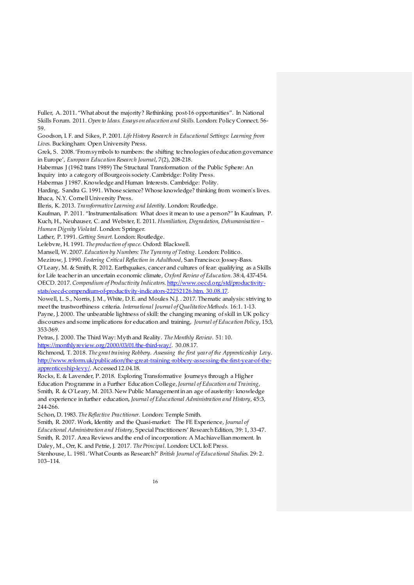Fuller, A. 2011. "What about the majority? Rethinking post-16 opportunities". In National Skills Forum. 2011. *Open to Ideas. Essays on education and Skills*. London: Policy Connect. 56- 59.

Goodson, I. F. and Sikes, P. 2001. *Life History Research in Educational Settings: Learning from Lives*. Buckingham: Open University Press.

Grek, S. 2008. 'From symbols to numbers: the shifting technologies of education governance in Europe', *European Education Research Journal*, 7(2), 208-218.

Habermas J (1962 trans 1989) The Structural Transformation of the Public Sphere: An

Inquiry into a category of Bourgeois society. Cambridge: Polity Press.

Habermas J 1987. Knowledge and Human Interests. Cambridge: Polity.

Harding, Sandra G. 1991. Whose science? Whose knowledge? thinking from women's lives. Ithaca, N.Y. Cornell University Press.

Illeris, K. 2013. *Transformative Learning and Identity*. London: Routledge.

Kaufman, P. 2011. "Instrumentalisation: What does it mean to use a person?" In Kaufman, P.

Kuch, H., Neuhauser, C. and Webster, E. 2011. *Humiliation, Degradation, Dehumanisation –*

*Human Dignity Violated*. London: Springer.

Lather, P. 1991. *Getting Smart*. London: Routledge.

Lefebvre, H. 1991. *The production of space*. Oxford: Blackwell.

Mansell, W. 2007. *Education by Numbers: The Tyranny of Testing*. London: Politico.

Mezirow, J. 1990. *Fostering Critical Reflection in Adulthood*, San Francisco: Jossey-Bass. O'Leary, M. & Smith, R. 2012. Earthquakes, cancer and cultures of fear: qualifying as a Skills for Life teacher in an uncertain economic climate, *Oxford Review of Education*. 38:4, 437-454. OECD. 2017. *Compendium of Productivity Indicators*. [http://www.oecd.org/std/productivity-](http://www.oecd.org/std/productivity-stats/oecd-compendium-of-productivity-indicators-22252126.htm.%2030.08.17)

[stats/oecd-compendium-of-productivity-indicators-22252126.htm. 30.08.17.](http://www.oecd.org/std/productivity-stats/oecd-compendium-of-productivity-indicators-22252126.htm.%2030.08.17)

Nowell, L. S., Norris, J. M., White, D.E. and Moules N.J. . 2017. Thematic analysis: striving to meet the trustworthiness criteria. *International Journal of Qualitative Methods*. 16:1. 1-13. Payne, J. 2000. The unbearable lightness of skill: the changing meaning of skill in UK policy discourses andsome implications for education and training, *Journal of Education Policy*, 15:3, 353-369.

Petras, J. 2000. The Third Way: Myth and Reality. *The Monthly Review*. 51: 10. [https://monthlyreview.org/2000/03/01/the-third-way/.](https://monthlyreview.org/2000/03/01/the-third-way/) 30.08.17.

Richmond, T. 2018. *The great training Robbery. Assessing the first year of the Apprenticeship Levy*. [http://www.reform.uk/publication/the-great-training-robbery-assessing-the-first-year-of-the](http://www.reform.uk/publication/the-great-training-robbery-assessing-the-first-year-of-the-apprenticeship-levy/)[apprenticeship-levy/.](http://www.reform.uk/publication/the-great-training-robbery-assessing-the-first-year-of-the-apprenticeship-levy/) Accessed 12.04.18.

Rocks, E. & Lavender, P. 2018. Exploring Transformative Journeys through a Higher Education Programme in a Further Education College, *Journal of Education and Training*, Smith, R. & O'Leary, M. 2013. New Public Management in an age of austerity: knowledge and experience in further education, *Journal of Educational Administration and History*, 45:3, 244-266.

Schon, D. 1983. *The Reflective Practitioner*. London: Temple Smith.

Smith, R. 2007. Work, Identity and the Quasi-market: The FE Experience, *Journal of* 

*Educational Administration and History*, Special Practitioners' Research Edition, 39: 1, 33-47. Smith, R. 2017. Area Reviews and the end of incorporation: A Machiavellian moment. In Daley, M., Orr, K. and Petrie, J. 2017. *The Principal*. London: UCL IoE Press.

Stenhouse, L. 1981. 'What Counts as Research?' *British Journal of Educational Studies*. 29: 2.

103–114.